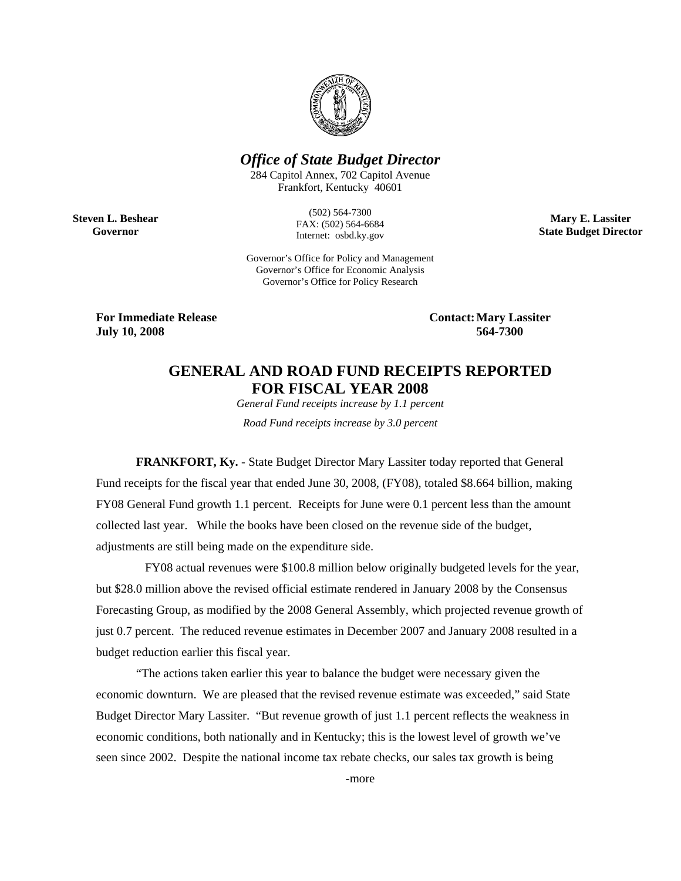

# *Office of State Budget Director*

284 Capitol Annex, 702 Capitol Avenue Frankfort, Kentucky 40601

**Steven L. Beshear Governor** 

(502) 564-7300 FAX: (502) 564-6684 Internet: osbd.ky.gov

**Mary E. Lassiter State Budget Director** 

Governor's Office for Policy and Management Governor's Office for Economic Analysis Governor's Office for Policy Research

**For Immediate Release Contact: Mary Lassiter<br>
July 10, 2008** 564-7300 **July 10, 2008** 

# **GENERAL AND ROAD FUND RECEIPTS REPORTED FOR FISCAL YEAR 2008**

*General Fund receipts increase by 1.1 percent Road Fund receipts increase by 3.0 percent* 

**FRANKFORT, Ky.** - State Budget Director Mary Lassiter today reported that General Fund receipts for the fiscal year that ended June 30, 2008, (FY08), totaled \$8.664 billion, making FY08 General Fund growth 1.1 percent. Receipts for June were 0.1 percent less than the amount collected last year. While the books have been closed on the revenue side of the budget, adjustments are still being made on the expenditure side.

 FY08 actual revenues were \$100.8 million below originally budgeted levels for the year, but \$28.0 million above the revised official estimate rendered in January 2008 by the Consensus Forecasting Group, as modified by the 2008 General Assembly, which projected revenue growth of just 0.7 percent. The reduced revenue estimates in December 2007 and January 2008 resulted in a budget reduction earlier this fiscal year.

"The actions taken earlier this year to balance the budget were necessary given the economic downturn. We are pleased that the revised revenue estimate was exceeded," said State Budget Director Mary Lassiter. "But revenue growth of just 1.1 percent reflects the weakness in economic conditions, both nationally and in Kentucky; this is the lowest level of growth we've seen since 2002. Despite the national income tax rebate checks, our sales tax growth is being

-more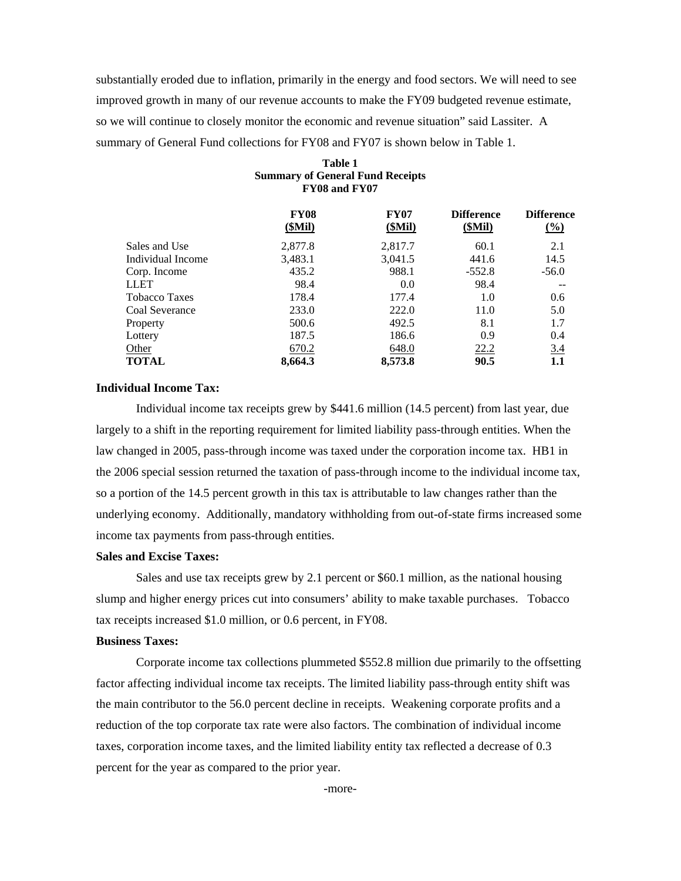substantially eroded due to inflation, primarily in the energy and food sectors. We will need to see improved growth in many of our revenue accounts to make the FY09 budgeted revenue estimate, so we will continue to closely monitor the economic and revenue situation" said Lassiter. A summary of General Fund collections for FY08 and FY07 is shown below in Table 1.

| <b>FY08</b><br>(SMil) | <b>FY07</b><br>(SMil) | <b>Difference</b><br>(SMil) | <b>Difference</b><br>$\frac{(\%)}{(\%)}$ |
|-----------------------|-----------------------|-----------------------------|------------------------------------------|
| 2.877.8               | 2,817.7               | 60.1                        | 2.1                                      |
| 3,483.1               | 3,041.5               | 441.6                       | 14.5                                     |
| 435.2                 | 988.1                 | $-552.8$                    | $-56.0$                                  |
| 98.4                  | 0.0                   | 98.4                        |                                          |
| 178.4                 | 177.4                 | 1.0                         | 0.6                                      |
| 233.0                 | 222.0                 | 11.0                        | 5.0                                      |
| 500.6                 | 492.5                 | 8.1                         | 1.7                                      |
| 187.5                 | 186.6                 | 0.9                         | 0.4                                      |
| 670.2                 | 648.0                 |                             | 3.4                                      |
| 8,664.3               | 8,573.8               | 90.5                        | 1.1                                      |
|                       |                       | <b>FY08 and FY07</b>        | 22.2                                     |

# **Table 1 Summary of General Fund Receipts**

#### **Individual Income Tax:**

Individual income tax receipts grew by \$441.6 million (14.5 percent) from last year, due largely to a shift in the reporting requirement for limited liability pass-through entities. When the law changed in 2005, pass-through income was taxed under the corporation income tax. HB1 in the 2006 special session returned the taxation of pass-through income to the individual income tax, so a portion of the 14.5 percent growth in this tax is attributable to law changes rather than the underlying economy. Additionally, mandatory withholding from out-of-state firms increased some income tax payments from pass-through entities.

## **Sales and Excise Taxes:**

Sales and use tax receipts grew by 2.1 percent or \$60.1 million, as the national housing slump and higher energy prices cut into consumers' ability to make taxable purchases. Tobacco tax receipts increased \$1.0 million, or 0.6 percent, in FY08.

#### **Business Taxes:**

Corporate income tax collections plummeted \$552.8 million due primarily to the offsetting factor affecting individual income tax receipts. The limited liability pass-through entity shift was the main contributor to the 56.0 percent decline in receipts. Weakening corporate profits and a reduction of the top corporate tax rate were also factors. The combination of individual income taxes, corporation income taxes, and the limited liability entity tax reflected a decrease of 0.3 percent for the year as compared to the prior year.

-more-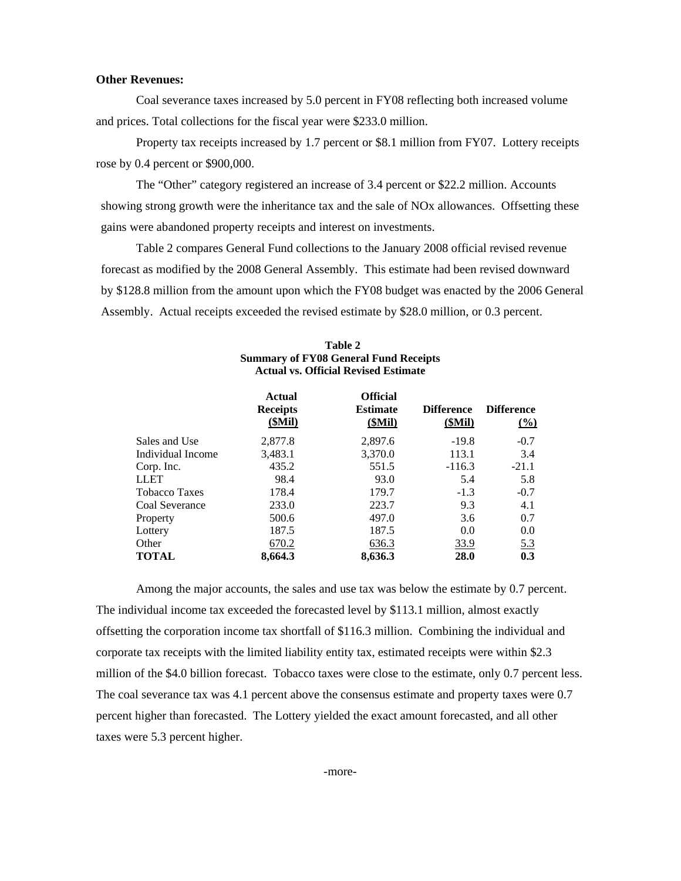#### **Other Revenues:**

Coal severance taxes increased by 5.0 percent in FY08 reflecting both increased volume and prices. Total collections for the fiscal year were \$233.0 million.

Property tax receipts increased by 1.7 percent or \$8.1 million from FY07. Lottery receipts rose by 0.4 percent or \$900,000.

The "Other" category registered an increase of 3.4 percent or \$22.2 million. Accounts showing strong growth were the inheritance tax and the sale of NOx allowances. Offsetting these gains were abandoned property receipts and interest on investments.

Table 2 compares General Fund collections to the January 2008 official revised revenue forecast as modified by the 2008 General Assembly. This estimate had been revised downward by \$128.8 million from the amount upon which the FY08 budget was enacted by the 2006 General Assembly. Actual receipts exceeded the revised estimate by \$28.0 million, or 0.3 percent.

|                      | <b>Actual</b><br><b>Receipts</b><br>(SMil) | <b>Official</b><br><b>Estimate</b><br>(SMil) | <b>Difference</b><br>(SMil) | <b>Difference</b><br>$\frac{(0)}{0}$ |
|----------------------|--------------------------------------------|----------------------------------------------|-----------------------------|--------------------------------------|
| Sales and Use        | 2,877.8                                    | 2,897.6                                      | $-19.8$                     | $-0.7$                               |
| Individual Income    | 3,483.1                                    | 3,370.0                                      | 113.1                       | 3.4                                  |
| Corp. Inc.           | 435.2                                      | 551.5                                        | $-116.3$                    | $-21.1$                              |
| <b>LLET</b>          | 98.4                                       | 93.0                                         | 5.4                         | 5.8                                  |
| <b>Tobacco Taxes</b> | 178.4                                      | 179.7                                        | $-1.3$                      | $-0.7$                               |
| Coal Severance       | 233.0                                      | 223.7                                        | 9.3                         | 4.1                                  |
| Property             | 500.6                                      | 497.0                                        | 3.6                         | 0.7                                  |
| Lottery              | 187.5                                      | 187.5                                        | 0.0                         | 0.0                                  |
| Other                | 670.2                                      | 636.3                                        | <u>33.9</u>                 | 5.3                                  |
| <b>TOTAL</b>         | 8,664.3                                    | 8,636.3                                      | 28.0                        | 0.3                                  |

#### **Table 2 Summary of FY08 General Fund Receipts Actual vs. Official Revised Estimate**

Among the major accounts, the sales and use tax was below the estimate by 0.7 percent. The individual income tax exceeded the forecasted level by \$113.1 million, almost exactly offsetting the corporation income tax shortfall of \$116.3 million. Combining the individual and corporate tax receipts with the limited liability entity tax, estimated receipts were within \$2.3 million of the \$4.0 billion forecast. Tobacco taxes were close to the estimate, only 0.7 percent less. The coal severance tax was 4.1 percent above the consensus estimate and property taxes were 0.7 percent higher than forecasted. The Lottery yielded the exact amount forecasted, and all other taxes were 5.3 percent higher.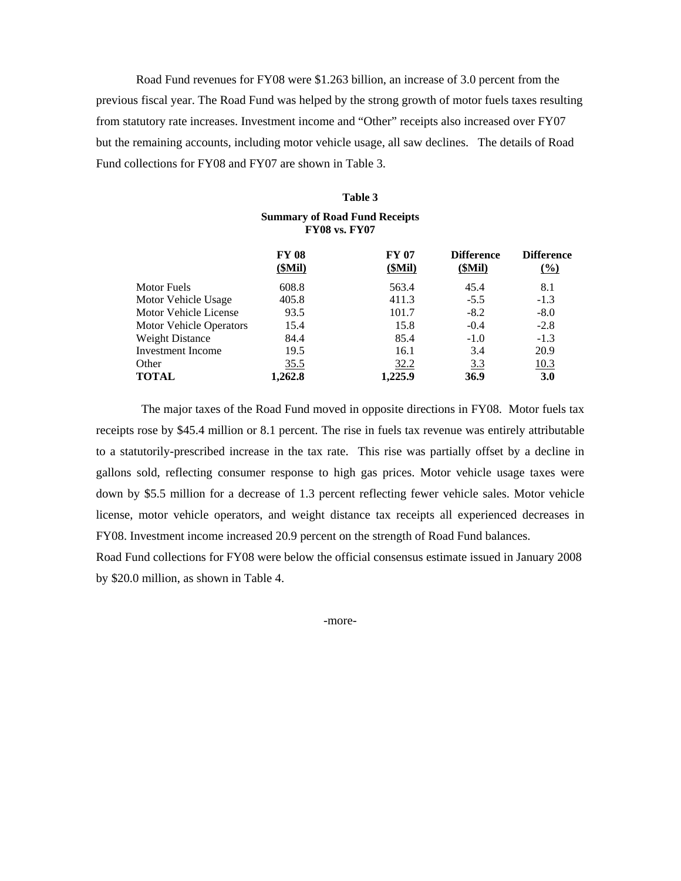Road Fund revenues for FY08 were \$1.263 billion, an increase of 3.0 percent from the previous fiscal year. The Road Fund was helped by the strong growth of motor fuels taxes resulting from statutory rate increases. Investment income and "Other" receipts also increased over FY07 but the remaining accounts, including motor vehicle usage, all saw declines. The details of Road Fund collections for FY08 and FY07 are shown in Table 3.

## **Table 3 Summary of Road Fund Receipts FY08 vs. FY07**

|                          | <b>FY 08</b><br>(SMil) | <b>FY 07</b><br>(SMil) | <b>Difference</b><br>(SMil) | <b>Difference</b><br>$(\%)$ |
|--------------------------|------------------------|------------------------|-----------------------------|-----------------------------|
| Motor Fuels              | 608.8                  | 563.4                  | 45.4                        | 8.1                         |
| Motor Vehicle Usage      | 405.8                  | 411.3                  | $-5.5$                      | $-1.3$                      |
| Motor Vehicle License    | 93.5                   | 101.7                  | $-8.2$                      | $-8.0$                      |
| Motor Vehicle Operators  | 15.4                   | 15.8                   | $-0.4$                      | $-2.8$                      |
| <b>Weight Distance</b>   | 84.4                   | 85.4                   | $-1.0$                      | $-1.3$                      |
| <b>Investment Income</b> | 19.5                   | 16.1                   | 3.4                         | 20.9                        |
| Other                    | 35.5                   | 32.2                   | <u>3.3</u>                  | 10.3                        |
| <b>TOTAL</b>             | 1,262.8                | 1.225.9                | 36.9                        | 3.0                         |

 The major taxes of the Road Fund moved in opposite directions in FY08. Motor fuels tax receipts rose by \$45.4 million or 8.1 percent. The rise in fuels tax revenue was entirely attributable to a statutorily-prescribed increase in the tax rate. This rise was partially offset by a decline in gallons sold, reflecting consumer response to high gas prices. Motor vehicle usage taxes were down by \$5.5 million for a decrease of 1.3 percent reflecting fewer vehicle sales. Motor vehicle license, motor vehicle operators, and weight distance tax receipts all experienced decreases in FY08. Investment income increased 20.9 percent on the strength of Road Fund balances.

Road Fund collections for FY08 were below the official consensus estimate issued in January 2008 by \$20.0 million, as shown in Table 4.

-more-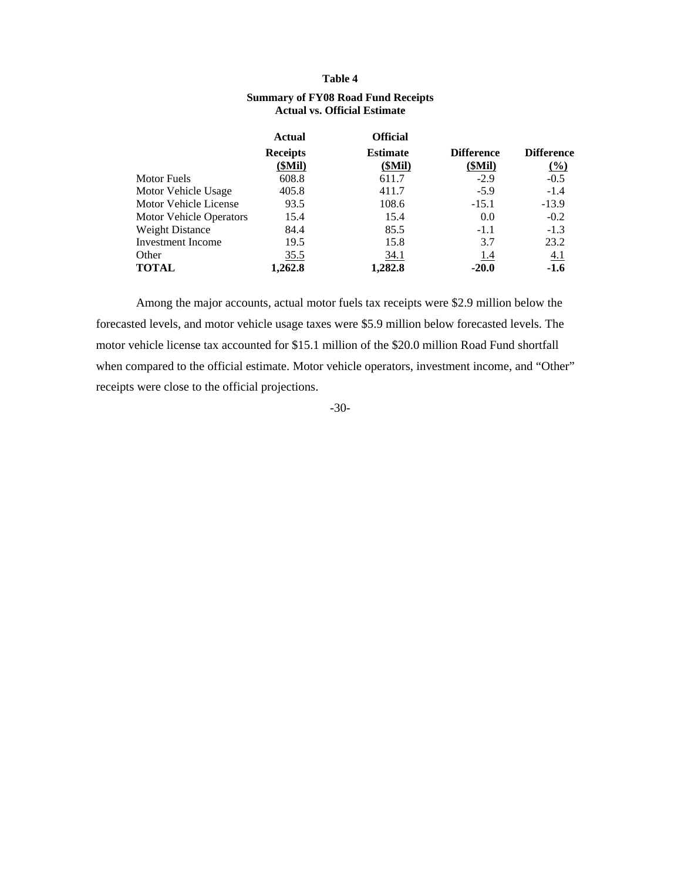#### **Table 4**

|                                | Actual          | <b>Official</b> |                                     |                     |  |
|--------------------------------|-----------------|-----------------|-------------------------------------|---------------------|--|
|                                | <b>Receipts</b> | <b>Estimate</b> | <b>Difference</b>                   | <b>Difference</b>   |  |
|                                | (SMil)          | (SMil)          | (SMil)                              | $\frac{(\%)}{(\%)}$ |  |
| Motor Fuels                    | 608.8           | 611.7           | $-2.9$                              | $-0.5$              |  |
| Motor Vehicle Usage            | 405.8           | 411.7           | $-5.9$                              | $-1.4$              |  |
| Motor Vehicle License          | 93.5            | 108.6           | $-15.1$                             | $-13.9$             |  |
| <b>Motor Vehicle Operators</b> | 15.4            | 15.4            | 0.0                                 | $-0.2$              |  |
| <b>Weight Distance</b>         | 84.4            | 85.5            | $-1.1$                              | $-1.3$              |  |
|                                |                 |                 | <b>Actual vs. Official Estimate</b> |                     |  |

Investment Income 19.5 15.8 3.7 23.2

**TOTAL** 1,262.8 1,282.8 -20.0 -1.6

### **Summary of FY08 Road Fund Receipts Actual vs. Official Estimate**

Among the major accounts, actual motor fuels tax receipts were \$2.9 million below the forecasted levels, and motor vehicle usage taxes were \$5.9 million below forecasted levels. The motor vehicle license tax accounted for \$15.1 million of the \$20.0 million Road Fund shortfall when compared to the official estimate. Motor vehicle operators, investment income, and "Other" receipts were close to the official projections.

Other 35.5 34.1 1.4 4.1

-30-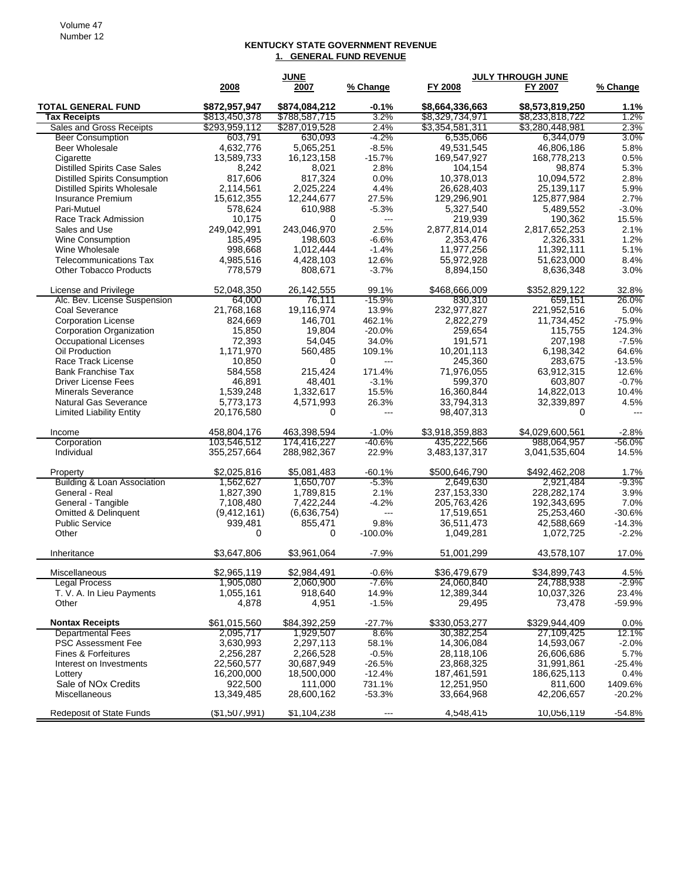#### **KENTUCKY STATE GOVERNMENT REVENUE 1. GENERAL FUND REVENUE**

| 2008<br>FY 2008<br>FY 2007<br>% Change<br>2007<br>\$874,084,212<br>\$8,664,336,663<br><b>TOTAL GENERAL FUND</b><br>\$872,957,947<br>$-0.1%$<br>\$8,573,819,250<br>1.1%<br>\$813,450,378<br>3.2%<br>\$8,329,734,971<br>\$8,233,818,722<br>1.2%<br><b>Tax Receipts</b><br>\$788,587,715<br>\$3,354,581,311<br>\$3,280,448,981<br>Sales and Gross Receipts<br>\$293,959,112<br>\$287,019,528<br>2.4%<br>2.3%<br><b>Beer Consumption</b><br>$-4.2%$<br>3.0%<br>603,791<br>630,093<br>6,535,066<br>6,344,079<br>Beer Wholesale<br>4,632,776<br>5,065,251<br>$-8.5%$<br>49.531,545<br>46,806,186<br>5.8%<br>169,547,927<br>0.5%<br>Cigarette<br>13,589,733<br>16,123,158<br>$-15.7%$<br>168,778,213<br><b>Distilled Spirits Case Sales</b><br>8,242<br>8,021<br>2.8%<br>104,154<br>98,874<br>5.3%<br><b>Distilled Spirits Consumption</b><br>817,606<br>817,324<br>0.0%<br>10,378,013<br>10,094,572<br>2.8%<br><b>Distilled Spirits Wholesale</b><br>2,114,561<br>2,025,224<br>4.4%<br>26,628,403<br>25,139,117<br>5.9%<br>12,244,677<br>27.5%<br>129,296,901<br>125,877,984<br>2.7%<br>Insurance Premium<br>15,612,355<br>578,624<br>5,327,540<br>5,489,552<br>$-3.0%$<br>Pari-Mutuel<br>610,988<br>$-5.3%$<br>15.5%<br>Race Track Admission<br>10,175<br>219,939<br>190,362<br>0<br>$\overline{a}$<br>249,042,991<br>243.046.970<br>2.5%<br>2,877,814,014<br>2,817,652,253<br>Sales and Use<br>2.1%<br>1.2%<br><b>Wine Consumption</b><br>185,495<br>198,603<br>$-6.6%$<br>2,353,476<br>2,326,331<br>Wine Wholesale<br>998,668<br>1,012,444<br>$-1.4%$<br>11,977,256<br>11,392,111<br>5.1%<br>4,985,516<br>4,428,103<br>12.6%<br>55,972,928<br>51,623,000<br><b>Telecommunications Tax</b><br>8.4%<br>778,579<br>808,671<br>$-3.7%$<br>8,894,150<br>8,636,348<br>3.0%<br><b>Other Tobacco Products</b><br>52,048,350<br>26, 142, 555<br>\$468,666,009<br>\$352,829,122<br>License and Privilege<br>99.1%<br>32.8%<br>Alc. Bev. License Suspension<br>76,111<br>$-15.9%$<br>830,310<br>64,000<br>659,151<br>26.0%<br>21,768,168<br>19,116,974<br>13.9%<br>232,977,827<br>221,952,516<br>5.0%<br>Coal Severance<br>824,669<br>146,701<br>462.1%<br>2,822,279<br>11,734,452<br>$-75.9%$<br><b>Corporation License</b><br>Corporation Organization<br>15,850<br>19,804<br>$-20.0%$<br>259,654<br>115,755<br>124.3%<br><b>Occupational Licenses</b><br>72.393<br>54,045<br>34.0%<br>191,571<br>207,198<br>$-7.5%$<br>Oil Production<br>1,171,970<br>560,485<br>109.1%<br>10,201,113<br>6,198,342<br>64.6%<br>10,850<br>245,360<br>283,675<br>Race Track License<br>0<br>$-13.5%$<br>---<br>584,558<br>215,424<br>171.4%<br>71,976,055<br>63,912,315<br>12.6%<br><b>Bank Franchise Tax</b><br>46,891<br>48,401<br>599,370<br>603,807<br>$-0.7%$<br><b>Driver License Fees</b><br>$-3.1%$<br>1,332,617<br>15.5%<br>16,360,844<br>14,822,013<br>10.4%<br><b>Minerals Severance</b><br>1,539,248<br>5,773,173<br>4,571,993<br>33,794,313<br>32,339,897<br>4.5%<br><b>Natural Gas Severance</b><br>26.3%<br>98,407,313<br><b>Limited Liability Entity</b><br>20,176,580<br>0<br>0<br>---<br>$-$ --<br>458,804,176<br>463,398,594<br>\$3,918,359,883<br>$-1.0%$<br>\$4,029,600,561<br>$-2.8%$<br>Income<br>Corporation<br>103,546,512<br>174,416,227<br>-40.6%<br>435,222,566<br>$-56.0\%$<br>988,064,957<br>288,982,367<br>3,041,535,604<br>Individual<br>355,257,664<br>22.9%<br>3,483,137,317<br>14.5%<br>\$2,025,816<br>\$5,081,483<br>\$500,646,790<br>\$492,462,208<br>$-60.1%$<br>1.7%<br>Property<br>Building & Loan Association<br>1,562,627<br>1,650,707<br>$-5.3\%$<br>2,649,630<br>-9.3%<br>2,921,484<br>237, 153, 330<br>228, 282, 174<br>General - Real<br>1,827,390<br>1,789,815<br>2.1%<br>3.9%<br>7,108,480<br>7,422,244<br>205,763,426<br>192,343,695<br>7.0%<br>General - Tangible<br>$-4.2%$<br><b>Omitted &amp; Delinquent</b><br>(9,412,161)<br>(6,636,754)<br>17,519,651<br>25,253,460<br>$-30.6%$<br>$\overline{a}$<br>36,511,473<br><b>Public Service</b><br>939,481<br>855,471<br>9.8%<br>42,588,669<br>$-14.3%$<br>Other<br>0<br>0<br>$-100.0\%$<br>1,049,281<br>1,072,725<br>$-2.2%$<br>\$3,647,806<br>\$3,961,064<br>51,001,299<br>43,578,107<br>Inheritance<br>$-7.9%$<br>17.0%<br>Miscellaneous<br>\$2,965,119<br>\$2,984,491<br>-0.6%<br>\$36,479,679<br>\$34,899,743<br>4.5%<br><b>Legal Process</b><br>1,905,080<br>2,060,900<br>$-7.6%$<br>24,060,840<br>24,788,938<br>$-2.9\%$<br>T. V. A. In Lieu Payments<br>918,640<br>12,389,344<br>10,037,326<br>1,055,161<br>14.9%<br>23.4%<br>Other<br>4,878<br>4,951<br>$-1.5%$<br>29,495<br>73,478<br>-59.9%<br><b>Nontax Receipts</b><br>\$61,015,560<br>\$84,392,259<br>$-27.7%$<br>\$330,053,277<br>\$329,944,409<br>0.0%<br><b>Departmental Fees</b><br>1,929,507<br>27,109,425<br>2,095,717<br>8.6%<br>30,382,254<br>12.1%<br><b>PSC Assessment Fee</b><br>3,630,993<br>2,297,113<br>58.1%<br>14,306,084<br>14,593,067<br>$-2.0%$<br>Fines & Forfeitures<br>2,256,287<br>2,266,528<br>$-0.5%$<br>28,118,106<br>26,606,686<br>5.7%<br>23,868,325<br>31,991,861<br>Interest on Investments<br>22,560,577<br>30,687,949<br>$-26.5%$<br>$-25.4%$<br>16,200,000<br>187,461,591<br>186,625,113<br>18,500,000<br>$-12.4%$<br>0.4%<br>Lottery<br>Sale of NOx Credits<br>922,500<br>111,000<br>731.1%<br>12,251,950<br>811,600<br>1409.6%<br>Miscellaneous<br>13,349,485<br>28,600,162<br>$-53.3%$<br>33,664,968<br>42,206,657<br>$-20.2%$ |                                 | <b>JUNE</b>   |             |          | <b>JULY THROUGH JUNE</b> |            |          |
|------------------------------------------------------------------------------------------------------------------------------------------------------------------------------------------------------------------------------------------------------------------------------------------------------------------------------------------------------------------------------------------------------------------------------------------------------------------------------------------------------------------------------------------------------------------------------------------------------------------------------------------------------------------------------------------------------------------------------------------------------------------------------------------------------------------------------------------------------------------------------------------------------------------------------------------------------------------------------------------------------------------------------------------------------------------------------------------------------------------------------------------------------------------------------------------------------------------------------------------------------------------------------------------------------------------------------------------------------------------------------------------------------------------------------------------------------------------------------------------------------------------------------------------------------------------------------------------------------------------------------------------------------------------------------------------------------------------------------------------------------------------------------------------------------------------------------------------------------------------------------------------------------------------------------------------------------------------------------------------------------------------------------------------------------------------------------------------------------------------------------------------------------------------------------------------------------------------------------------------------------------------------------------------------------------------------------------------------------------------------------------------------------------------------------------------------------------------------------------------------------------------------------------------------------------------------------------------------------------------------------------------------------------------------------------------------------------------------------------------------------------------------------------------------------------------------------------------------------------------------------------------------------------------------------------------------------------------------------------------------------------------------------------------------------------------------------------------------------------------------------------------------------------------------------------------------------------------------------------------------------------------------------------------------------------------------------------------------------------------------------------------------------------------------------------------------------------------------------------------------------------------------------------------------------------------------------------------------------------------------------------------------------------------------------------------------------------------------------------------------------------------------------------------------------------------------------------------------------------------------------------------------------------------------------------------------------------------------------------------------------------------------------------------------------------------------------------------------------------------------------------------------------------------------------------------------------------------------------------------------------------------------------------------------------------------------------------------------------------------------------------------------------------------------------------------------------------------------------------------------------------------------------------------------------------------------------------------------------------------------------------------------------------------------------------------------------------------------------------------------------------------------------------------------------------------------------------------------------------------------------------------------------------------------------------------------------------------------------------------------------------------------------------------------------------------------------------------------------------------------------------------------------------------------------------------------------------------------------------------------------------------------------------------------------------------------------------------------------------------------------------------------------|---------------------------------|---------------|-------------|----------|--------------------------|------------|----------|
|                                                                                                                                                                                                                                                                                                                                                                                                                                                                                                                                                                                                                                                                                                                                                                                                                                                                                                                                                                                                                                                                                                                                                                                                                                                                                                                                                                                                                                                                                                                                                                                                                                                                                                                                                                                                                                                                                                                                                                                                                                                                                                                                                                                                                                                                                                                                                                                                                                                                                                                                                                                                                                                                                                                                                                                                                                                                                                                                                                                                                                                                                                                                                                                                                                                                                                                                                                                                                                                                                                                                                                                                                                                                                                                                                                                                                                                                                                                                                                                                                                                                                                                                                                                                                                                                                                                                                                                                                                                                                                                                                                                                                                                                                                                                                                                                                                                                                                                                                                                                                                                                                                                                                                                                                                                                                                                                                                                                      |                                 |               |             | % Change |                          |            |          |
|                                                                                                                                                                                                                                                                                                                                                                                                                                                                                                                                                                                                                                                                                                                                                                                                                                                                                                                                                                                                                                                                                                                                                                                                                                                                                                                                                                                                                                                                                                                                                                                                                                                                                                                                                                                                                                                                                                                                                                                                                                                                                                                                                                                                                                                                                                                                                                                                                                                                                                                                                                                                                                                                                                                                                                                                                                                                                                                                                                                                                                                                                                                                                                                                                                                                                                                                                                                                                                                                                                                                                                                                                                                                                                                                                                                                                                                                                                                                                                                                                                                                                                                                                                                                                                                                                                                                                                                                                                                                                                                                                                                                                                                                                                                                                                                                                                                                                                                                                                                                                                                                                                                                                                                                                                                                                                                                                                                                      |                                 |               |             |          |                          |            |          |
|                                                                                                                                                                                                                                                                                                                                                                                                                                                                                                                                                                                                                                                                                                                                                                                                                                                                                                                                                                                                                                                                                                                                                                                                                                                                                                                                                                                                                                                                                                                                                                                                                                                                                                                                                                                                                                                                                                                                                                                                                                                                                                                                                                                                                                                                                                                                                                                                                                                                                                                                                                                                                                                                                                                                                                                                                                                                                                                                                                                                                                                                                                                                                                                                                                                                                                                                                                                                                                                                                                                                                                                                                                                                                                                                                                                                                                                                                                                                                                                                                                                                                                                                                                                                                                                                                                                                                                                                                                                                                                                                                                                                                                                                                                                                                                                                                                                                                                                                                                                                                                                                                                                                                                                                                                                                                                                                                                                                      |                                 |               |             |          |                          |            |          |
|                                                                                                                                                                                                                                                                                                                                                                                                                                                                                                                                                                                                                                                                                                                                                                                                                                                                                                                                                                                                                                                                                                                                                                                                                                                                                                                                                                                                                                                                                                                                                                                                                                                                                                                                                                                                                                                                                                                                                                                                                                                                                                                                                                                                                                                                                                                                                                                                                                                                                                                                                                                                                                                                                                                                                                                                                                                                                                                                                                                                                                                                                                                                                                                                                                                                                                                                                                                                                                                                                                                                                                                                                                                                                                                                                                                                                                                                                                                                                                                                                                                                                                                                                                                                                                                                                                                                                                                                                                                                                                                                                                                                                                                                                                                                                                                                                                                                                                                                                                                                                                                                                                                                                                                                                                                                                                                                                                                                      |                                 |               |             |          |                          |            |          |
|                                                                                                                                                                                                                                                                                                                                                                                                                                                                                                                                                                                                                                                                                                                                                                                                                                                                                                                                                                                                                                                                                                                                                                                                                                                                                                                                                                                                                                                                                                                                                                                                                                                                                                                                                                                                                                                                                                                                                                                                                                                                                                                                                                                                                                                                                                                                                                                                                                                                                                                                                                                                                                                                                                                                                                                                                                                                                                                                                                                                                                                                                                                                                                                                                                                                                                                                                                                                                                                                                                                                                                                                                                                                                                                                                                                                                                                                                                                                                                                                                                                                                                                                                                                                                                                                                                                                                                                                                                                                                                                                                                                                                                                                                                                                                                                                                                                                                                                                                                                                                                                                                                                                                                                                                                                                                                                                                                                                      |                                 |               |             |          |                          |            |          |
|                                                                                                                                                                                                                                                                                                                                                                                                                                                                                                                                                                                                                                                                                                                                                                                                                                                                                                                                                                                                                                                                                                                                                                                                                                                                                                                                                                                                                                                                                                                                                                                                                                                                                                                                                                                                                                                                                                                                                                                                                                                                                                                                                                                                                                                                                                                                                                                                                                                                                                                                                                                                                                                                                                                                                                                                                                                                                                                                                                                                                                                                                                                                                                                                                                                                                                                                                                                                                                                                                                                                                                                                                                                                                                                                                                                                                                                                                                                                                                                                                                                                                                                                                                                                                                                                                                                                                                                                                                                                                                                                                                                                                                                                                                                                                                                                                                                                                                                                                                                                                                                                                                                                                                                                                                                                                                                                                                                                      |                                 |               |             |          |                          |            |          |
|                                                                                                                                                                                                                                                                                                                                                                                                                                                                                                                                                                                                                                                                                                                                                                                                                                                                                                                                                                                                                                                                                                                                                                                                                                                                                                                                                                                                                                                                                                                                                                                                                                                                                                                                                                                                                                                                                                                                                                                                                                                                                                                                                                                                                                                                                                                                                                                                                                                                                                                                                                                                                                                                                                                                                                                                                                                                                                                                                                                                                                                                                                                                                                                                                                                                                                                                                                                                                                                                                                                                                                                                                                                                                                                                                                                                                                                                                                                                                                                                                                                                                                                                                                                                                                                                                                                                                                                                                                                                                                                                                                                                                                                                                                                                                                                                                                                                                                                                                                                                                                                                                                                                                                                                                                                                                                                                                                                                      |                                 |               |             |          |                          |            |          |
|                                                                                                                                                                                                                                                                                                                                                                                                                                                                                                                                                                                                                                                                                                                                                                                                                                                                                                                                                                                                                                                                                                                                                                                                                                                                                                                                                                                                                                                                                                                                                                                                                                                                                                                                                                                                                                                                                                                                                                                                                                                                                                                                                                                                                                                                                                                                                                                                                                                                                                                                                                                                                                                                                                                                                                                                                                                                                                                                                                                                                                                                                                                                                                                                                                                                                                                                                                                                                                                                                                                                                                                                                                                                                                                                                                                                                                                                                                                                                                                                                                                                                                                                                                                                                                                                                                                                                                                                                                                                                                                                                                                                                                                                                                                                                                                                                                                                                                                                                                                                                                                                                                                                                                                                                                                                                                                                                                                                      |                                 |               |             |          |                          |            |          |
|                                                                                                                                                                                                                                                                                                                                                                                                                                                                                                                                                                                                                                                                                                                                                                                                                                                                                                                                                                                                                                                                                                                                                                                                                                                                                                                                                                                                                                                                                                                                                                                                                                                                                                                                                                                                                                                                                                                                                                                                                                                                                                                                                                                                                                                                                                                                                                                                                                                                                                                                                                                                                                                                                                                                                                                                                                                                                                                                                                                                                                                                                                                                                                                                                                                                                                                                                                                                                                                                                                                                                                                                                                                                                                                                                                                                                                                                                                                                                                                                                                                                                                                                                                                                                                                                                                                                                                                                                                                                                                                                                                                                                                                                                                                                                                                                                                                                                                                                                                                                                                                                                                                                                                                                                                                                                                                                                                                                      |                                 |               |             |          |                          |            |          |
|                                                                                                                                                                                                                                                                                                                                                                                                                                                                                                                                                                                                                                                                                                                                                                                                                                                                                                                                                                                                                                                                                                                                                                                                                                                                                                                                                                                                                                                                                                                                                                                                                                                                                                                                                                                                                                                                                                                                                                                                                                                                                                                                                                                                                                                                                                                                                                                                                                                                                                                                                                                                                                                                                                                                                                                                                                                                                                                                                                                                                                                                                                                                                                                                                                                                                                                                                                                                                                                                                                                                                                                                                                                                                                                                                                                                                                                                                                                                                                                                                                                                                                                                                                                                                                                                                                                                                                                                                                                                                                                                                                                                                                                                                                                                                                                                                                                                                                                                                                                                                                                                                                                                                                                                                                                                                                                                                                                                      |                                 |               |             |          |                          |            |          |
|                                                                                                                                                                                                                                                                                                                                                                                                                                                                                                                                                                                                                                                                                                                                                                                                                                                                                                                                                                                                                                                                                                                                                                                                                                                                                                                                                                                                                                                                                                                                                                                                                                                                                                                                                                                                                                                                                                                                                                                                                                                                                                                                                                                                                                                                                                                                                                                                                                                                                                                                                                                                                                                                                                                                                                                                                                                                                                                                                                                                                                                                                                                                                                                                                                                                                                                                                                                                                                                                                                                                                                                                                                                                                                                                                                                                                                                                                                                                                                                                                                                                                                                                                                                                                                                                                                                                                                                                                                                                                                                                                                                                                                                                                                                                                                                                                                                                                                                                                                                                                                                                                                                                                                                                                                                                                                                                                                                                      |                                 |               |             |          |                          |            |          |
|                                                                                                                                                                                                                                                                                                                                                                                                                                                                                                                                                                                                                                                                                                                                                                                                                                                                                                                                                                                                                                                                                                                                                                                                                                                                                                                                                                                                                                                                                                                                                                                                                                                                                                                                                                                                                                                                                                                                                                                                                                                                                                                                                                                                                                                                                                                                                                                                                                                                                                                                                                                                                                                                                                                                                                                                                                                                                                                                                                                                                                                                                                                                                                                                                                                                                                                                                                                                                                                                                                                                                                                                                                                                                                                                                                                                                                                                                                                                                                                                                                                                                                                                                                                                                                                                                                                                                                                                                                                                                                                                                                                                                                                                                                                                                                                                                                                                                                                                                                                                                                                                                                                                                                                                                                                                                                                                                                                                      |                                 |               |             |          |                          |            |          |
|                                                                                                                                                                                                                                                                                                                                                                                                                                                                                                                                                                                                                                                                                                                                                                                                                                                                                                                                                                                                                                                                                                                                                                                                                                                                                                                                                                                                                                                                                                                                                                                                                                                                                                                                                                                                                                                                                                                                                                                                                                                                                                                                                                                                                                                                                                                                                                                                                                                                                                                                                                                                                                                                                                                                                                                                                                                                                                                                                                                                                                                                                                                                                                                                                                                                                                                                                                                                                                                                                                                                                                                                                                                                                                                                                                                                                                                                                                                                                                                                                                                                                                                                                                                                                                                                                                                                                                                                                                                                                                                                                                                                                                                                                                                                                                                                                                                                                                                                                                                                                                                                                                                                                                                                                                                                                                                                                                                                      |                                 |               |             |          |                          |            |          |
|                                                                                                                                                                                                                                                                                                                                                                                                                                                                                                                                                                                                                                                                                                                                                                                                                                                                                                                                                                                                                                                                                                                                                                                                                                                                                                                                                                                                                                                                                                                                                                                                                                                                                                                                                                                                                                                                                                                                                                                                                                                                                                                                                                                                                                                                                                                                                                                                                                                                                                                                                                                                                                                                                                                                                                                                                                                                                                                                                                                                                                                                                                                                                                                                                                                                                                                                                                                                                                                                                                                                                                                                                                                                                                                                                                                                                                                                                                                                                                                                                                                                                                                                                                                                                                                                                                                                                                                                                                                                                                                                                                                                                                                                                                                                                                                                                                                                                                                                                                                                                                                                                                                                                                                                                                                                                                                                                                                                      |                                 |               |             |          |                          |            |          |
|                                                                                                                                                                                                                                                                                                                                                                                                                                                                                                                                                                                                                                                                                                                                                                                                                                                                                                                                                                                                                                                                                                                                                                                                                                                                                                                                                                                                                                                                                                                                                                                                                                                                                                                                                                                                                                                                                                                                                                                                                                                                                                                                                                                                                                                                                                                                                                                                                                                                                                                                                                                                                                                                                                                                                                                                                                                                                                                                                                                                                                                                                                                                                                                                                                                                                                                                                                                                                                                                                                                                                                                                                                                                                                                                                                                                                                                                                                                                                                                                                                                                                                                                                                                                                                                                                                                                                                                                                                                                                                                                                                                                                                                                                                                                                                                                                                                                                                                                                                                                                                                                                                                                                                                                                                                                                                                                                                                                      |                                 |               |             |          |                          |            |          |
|                                                                                                                                                                                                                                                                                                                                                                                                                                                                                                                                                                                                                                                                                                                                                                                                                                                                                                                                                                                                                                                                                                                                                                                                                                                                                                                                                                                                                                                                                                                                                                                                                                                                                                                                                                                                                                                                                                                                                                                                                                                                                                                                                                                                                                                                                                                                                                                                                                                                                                                                                                                                                                                                                                                                                                                                                                                                                                                                                                                                                                                                                                                                                                                                                                                                                                                                                                                                                                                                                                                                                                                                                                                                                                                                                                                                                                                                                                                                                                                                                                                                                                                                                                                                                                                                                                                                                                                                                                                                                                                                                                                                                                                                                                                                                                                                                                                                                                                                                                                                                                                                                                                                                                                                                                                                                                                                                                                                      |                                 |               |             |          |                          |            |          |
|                                                                                                                                                                                                                                                                                                                                                                                                                                                                                                                                                                                                                                                                                                                                                                                                                                                                                                                                                                                                                                                                                                                                                                                                                                                                                                                                                                                                                                                                                                                                                                                                                                                                                                                                                                                                                                                                                                                                                                                                                                                                                                                                                                                                                                                                                                                                                                                                                                                                                                                                                                                                                                                                                                                                                                                                                                                                                                                                                                                                                                                                                                                                                                                                                                                                                                                                                                                                                                                                                                                                                                                                                                                                                                                                                                                                                                                                                                                                                                                                                                                                                                                                                                                                                                                                                                                                                                                                                                                                                                                                                                                                                                                                                                                                                                                                                                                                                                                                                                                                                                                                                                                                                                                                                                                                                                                                                                                                      |                                 |               |             |          |                          |            |          |
|                                                                                                                                                                                                                                                                                                                                                                                                                                                                                                                                                                                                                                                                                                                                                                                                                                                                                                                                                                                                                                                                                                                                                                                                                                                                                                                                                                                                                                                                                                                                                                                                                                                                                                                                                                                                                                                                                                                                                                                                                                                                                                                                                                                                                                                                                                                                                                                                                                                                                                                                                                                                                                                                                                                                                                                                                                                                                                                                                                                                                                                                                                                                                                                                                                                                                                                                                                                                                                                                                                                                                                                                                                                                                                                                                                                                                                                                                                                                                                                                                                                                                                                                                                                                                                                                                                                                                                                                                                                                                                                                                                                                                                                                                                                                                                                                                                                                                                                                                                                                                                                                                                                                                                                                                                                                                                                                                                                                      |                                 |               |             |          |                          |            |          |
|                                                                                                                                                                                                                                                                                                                                                                                                                                                                                                                                                                                                                                                                                                                                                                                                                                                                                                                                                                                                                                                                                                                                                                                                                                                                                                                                                                                                                                                                                                                                                                                                                                                                                                                                                                                                                                                                                                                                                                                                                                                                                                                                                                                                                                                                                                                                                                                                                                                                                                                                                                                                                                                                                                                                                                                                                                                                                                                                                                                                                                                                                                                                                                                                                                                                                                                                                                                                                                                                                                                                                                                                                                                                                                                                                                                                                                                                                                                                                                                                                                                                                                                                                                                                                                                                                                                                                                                                                                                                                                                                                                                                                                                                                                                                                                                                                                                                                                                                                                                                                                                                                                                                                                                                                                                                                                                                                                                                      |                                 |               |             |          |                          |            |          |
|                                                                                                                                                                                                                                                                                                                                                                                                                                                                                                                                                                                                                                                                                                                                                                                                                                                                                                                                                                                                                                                                                                                                                                                                                                                                                                                                                                                                                                                                                                                                                                                                                                                                                                                                                                                                                                                                                                                                                                                                                                                                                                                                                                                                                                                                                                                                                                                                                                                                                                                                                                                                                                                                                                                                                                                                                                                                                                                                                                                                                                                                                                                                                                                                                                                                                                                                                                                                                                                                                                                                                                                                                                                                                                                                                                                                                                                                                                                                                                                                                                                                                                                                                                                                                                                                                                                                                                                                                                                                                                                                                                                                                                                                                                                                                                                                                                                                                                                                                                                                                                                                                                                                                                                                                                                                                                                                                                                                      |                                 |               |             |          |                          |            |          |
|                                                                                                                                                                                                                                                                                                                                                                                                                                                                                                                                                                                                                                                                                                                                                                                                                                                                                                                                                                                                                                                                                                                                                                                                                                                                                                                                                                                                                                                                                                                                                                                                                                                                                                                                                                                                                                                                                                                                                                                                                                                                                                                                                                                                                                                                                                                                                                                                                                                                                                                                                                                                                                                                                                                                                                                                                                                                                                                                                                                                                                                                                                                                                                                                                                                                                                                                                                                                                                                                                                                                                                                                                                                                                                                                                                                                                                                                                                                                                                                                                                                                                                                                                                                                                                                                                                                                                                                                                                                                                                                                                                                                                                                                                                                                                                                                                                                                                                                                                                                                                                                                                                                                                                                                                                                                                                                                                                                                      |                                 |               |             |          |                          |            |          |
|                                                                                                                                                                                                                                                                                                                                                                                                                                                                                                                                                                                                                                                                                                                                                                                                                                                                                                                                                                                                                                                                                                                                                                                                                                                                                                                                                                                                                                                                                                                                                                                                                                                                                                                                                                                                                                                                                                                                                                                                                                                                                                                                                                                                                                                                                                                                                                                                                                                                                                                                                                                                                                                                                                                                                                                                                                                                                                                                                                                                                                                                                                                                                                                                                                                                                                                                                                                                                                                                                                                                                                                                                                                                                                                                                                                                                                                                                                                                                                                                                                                                                                                                                                                                                                                                                                                                                                                                                                                                                                                                                                                                                                                                                                                                                                                                                                                                                                                                                                                                                                                                                                                                                                                                                                                                                                                                                                                                      |                                 |               |             |          |                          |            |          |
|                                                                                                                                                                                                                                                                                                                                                                                                                                                                                                                                                                                                                                                                                                                                                                                                                                                                                                                                                                                                                                                                                                                                                                                                                                                                                                                                                                                                                                                                                                                                                                                                                                                                                                                                                                                                                                                                                                                                                                                                                                                                                                                                                                                                                                                                                                                                                                                                                                                                                                                                                                                                                                                                                                                                                                                                                                                                                                                                                                                                                                                                                                                                                                                                                                                                                                                                                                                                                                                                                                                                                                                                                                                                                                                                                                                                                                                                                                                                                                                                                                                                                                                                                                                                                                                                                                                                                                                                                                                                                                                                                                                                                                                                                                                                                                                                                                                                                                                                                                                                                                                                                                                                                                                                                                                                                                                                                                                                      |                                 |               |             |          |                          |            |          |
|                                                                                                                                                                                                                                                                                                                                                                                                                                                                                                                                                                                                                                                                                                                                                                                                                                                                                                                                                                                                                                                                                                                                                                                                                                                                                                                                                                                                                                                                                                                                                                                                                                                                                                                                                                                                                                                                                                                                                                                                                                                                                                                                                                                                                                                                                                                                                                                                                                                                                                                                                                                                                                                                                                                                                                                                                                                                                                                                                                                                                                                                                                                                                                                                                                                                                                                                                                                                                                                                                                                                                                                                                                                                                                                                                                                                                                                                                                                                                                                                                                                                                                                                                                                                                                                                                                                                                                                                                                                                                                                                                                                                                                                                                                                                                                                                                                                                                                                                                                                                                                                                                                                                                                                                                                                                                                                                                                                                      |                                 |               |             |          |                          |            |          |
|                                                                                                                                                                                                                                                                                                                                                                                                                                                                                                                                                                                                                                                                                                                                                                                                                                                                                                                                                                                                                                                                                                                                                                                                                                                                                                                                                                                                                                                                                                                                                                                                                                                                                                                                                                                                                                                                                                                                                                                                                                                                                                                                                                                                                                                                                                                                                                                                                                                                                                                                                                                                                                                                                                                                                                                                                                                                                                                                                                                                                                                                                                                                                                                                                                                                                                                                                                                                                                                                                                                                                                                                                                                                                                                                                                                                                                                                                                                                                                                                                                                                                                                                                                                                                                                                                                                                                                                                                                                                                                                                                                                                                                                                                                                                                                                                                                                                                                                                                                                                                                                                                                                                                                                                                                                                                                                                                                                                      |                                 |               |             |          |                          |            |          |
|                                                                                                                                                                                                                                                                                                                                                                                                                                                                                                                                                                                                                                                                                                                                                                                                                                                                                                                                                                                                                                                                                                                                                                                                                                                                                                                                                                                                                                                                                                                                                                                                                                                                                                                                                                                                                                                                                                                                                                                                                                                                                                                                                                                                                                                                                                                                                                                                                                                                                                                                                                                                                                                                                                                                                                                                                                                                                                                                                                                                                                                                                                                                                                                                                                                                                                                                                                                                                                                                                                                                                                                                                                                                                                                                                                                                                                                                                                                                                                                                                                                                                                                                                                                                                                                                                                                                                                                                                                                                                                                                                                                                                                                                                                                                                                                                                                                                                                                                                                                                                                                                                                                                                                                                                                                                                                                                                                                                      |                                 |               |             |          |                          |            |          |
|                                                                                                                                                                                                                                                                                                                                                                                                                                                                                                                                                                                                                                                                                                                                                                                                                                                                                                                                                                                                                                                                                                                                                                                                                                                                                                                                                                                                                                                                                                                                                                                                                                                                                                                                                                                                                                                                                                                                                                                                                                                                                                                                                                                                                                                                                                                                                                                                                                                                                                                                                                                                                                                                                                                                                                                                                                                                                                                                                                                                                                                                                                                                                                                                                                                                                                                                                                                                                                                                                                                                                                                                                                                                                                                                                                                                                                                                                                                                                                                                                                                                                                                                                                                                                                                                                                                                                                                                                                                                                                                                                                                                                                                                                                                                                                                                                                                                                                                                                                                                                                                                                                                                                                                                                                                                                                                                                                                                      |                                 |               |             |          |                          |            |          |
|                                                                                                                                                                                                                                                                                                                                                                                                                                                                                                                                                                                                                                                                                                                                                                                                                                                                                                                                                                                                                                                                                                                                                                                                                                                                                                                                                                                                                                                                                                                                                                                                                                                                                                                                                                                                                                                                                                                                                                                                                                                                                                                                                                                                                                                                                                                                                                                                                                                                                                                                                                                                                                                                                                                                                                                                                                                                                                                                                                                                                                                                                                                                                                                                                                                                                                                                                                                                                                                                                                                                                                                                                                                                                                                                                                                                                                                                                                                                                                                                                                                                                                                                                                                                                                                                                                                                                                                                                                                                                                                                                                                                                                                                                                                                                                                                                                                                                                                                                                                                                                                                                                                                                                                                                                                                                                                                                                                                      |                                 |               |             |          |                          |            |          |
|                                                                                                                                                                                                                                                                                                                                                                                                                                                                                                                                                                                                                                                                                                                                                                                                                                                                                                                                                                                                                                                                                                                                                                                                                                                                                                                                                                                                                                                                                                                                                                                                                                                                                                                                                                                                                                                                                                                                                                                                                                                                                                                                                                                                                                                                                                                                                                                                                                                                                                                                                                                                                                                                                                                                                                                                                                                                                                                                                                                                                                                                                                                                                                                                                                                                                                                                                                                                                                                                                                                                                                                                                                                                                                                                                                                                                                                                                                                                                                                                                                                                                                                                                                                                                                                                                                                                                                                                                                                                                                                                                                                                                                                                                                                                                                                                                                                                                                                                                                                                                                                                                                                                                                                                                                                                                                                                                                                                      |                                 |               |             |          |                          |            |          |
|                                                                                                                                                                                                                                                                                                                                                                                                                                                                                                                                                                                                                                                                                                                                                                                                                                                                                                                                                                                                                                                                                                                                                                                                                                                                                                                                                                                                                                                                                                                                                                                                                                                                                                                                                                                                                                                                                                                                                                                                                                                                                                                                                                                                                                                                                                                                                                                                                                                                                                                                                                                                                                                                                                                                                                                                                                                                                                                                                                                                                                                                                                                                                                                                                                                                                                                                                                                                                                                                                                                                                                                                                                                                                                                                                                                                                                                                                                                                                                                                                                                                                                                                                                                                                                                                                                                                                                                                                                                                                                                                                                                                                                                                                                                                                                                                                                                                                                                                                                                                                                                                                                                                                                                                                                                                                                                                                                                                      |                                 |               |             |          |                          |            |          |
|                                                                                                                                                                                                                                                                                                                                                                                                                                                                                                                                                                                                                                                                                                                                                                                                                                                                                                                                                                                                                                                                                                                                                                                                                                                                                                                                                                                                                                                                                                                                                                                                                                                                                                                                                                                                                                                                                                                                                                                                                                                                                                                                                                                                                                                                                                                                                                                                                                                                                                                                                                                                                                                                                                                                                                                                                                                                                                                                                                                                                                                                                                                                                                                                                                                                                                                                                                                                                                                                                                                                                                                                                                                                                                                                                                                                                                                                                                                                                                                                                                                                                                                                                                                                                                                                                                                                                                                                                                                                                                                                                                                                                                                                                                                                                                                                                                                                                                                                                                                                                                                                                                                                                                                                                                                                                                                                                                                                      |                                 |               |             |          |                          |            |          |
|                                                                                                                                                                                                                                                                                                                                                                                                                                                                                                                                                                                                                                                                                                                                                                                                                                                                                                                                                                                                                                                                                                                                                                                                                                                                                                                                                                                                                                                                                                                                                                                                                                                                                                                                                                                                                                                                                                                                                                                                                                                                                                                                                                                                                                                                                                                                                                                                                                                                                                                                                                                                                                                                                                                                                                                                                                                                                                                                                                                                                                                                                                                                                                                                                                                                                                                                                                                                                                                                                                                                                                                                                                                                                                                                                                                                                                                                                                                                                                                                                                                                                                                                                                                                                                                                                                                                                                                                                                                                                                                                                                                                                                                                                                                                                                                                                                                                                                                                                                                                                                                                                                                                                                                                                                                                                                                                                                                                      |                                 |               |             |          |                          |            |          |
|                                                                                                                                                                                                                                                                                                                                                                                                                                                                                                                                                                                                                                                                                                                                                                                                                                                                                                                                                                                                                                                                                                                                                                                                                                                                                                                                                                                                                                                                                                                                                                                                                                                                                                                                                                                                                                                                                                                                                                                                                                                                                                                                                                                                                                                                                                                                                                                                                                                                                                                                                                                                                                                                                                                                                                                                                                                                                                                                                                                                                                                                                                                                                                                                                                                                                                                                                                                                                                                                                                                                                                                                                                                                                                                                                                                                                                                                                                                                                                                                                                                                                                                                                                                                                                                                                                                                                                                                                                                                                                                                                                                                                                                                                                                                                                                                                                                                                                                                                                                                                                                                                                                                                                                                                                                                                                                                                                                                      |                                 |               |             |          |                          |            |          |
|                                                                                                                                                                                                                                                                                                                                                                                                                                                                                                                                                                                                                                                                                                                                                                                                                                                                                                                                                                                                                                                                                                                                                                                                                                                                                                                                                                                                                                                                                                                                                                                                                                                                                                                                                                                                                                                                                                                                                                                                                                                                                                                                                                                                                                                                                                                                                                                                                                                                                                                                                                                                                                                                                                                                                                                                                                                                                                                                                                                                                                                                                                                                                                                                                                                                                                                                                                                                                                                                                                                                                                                                                                                                                                                                                                                                                                                                                                                                                                                                                                                                                                                                                                                                                                                                                                                                                                                                                                                                                                                                                                                                                                                                                                                                                                                                                                                                                                                                                                                                                                                                                                                                                                                                                                                                                                                                                                                                      |                                 |               |             |          |                          |            |          |
|                                                                                                                                                                                                                                                                                                                                                                                                                                                                                                                                                                                                                                                                                                                                                                                                                                                                                                                                                                                                                                                                                                                                                                                                                                                                                                                                                                                                                                                                                                                                                                                                                                                                                                                                                                                                                                                                                                                                                                                                                                                                                                                                                                                                                                                                                                                                                                                                                                                                                                                                                                                                                                                                                                                                                                                                                                                                                                                                                                                                                                                                                                                                                                                                                                                                                                                                                                                                                                                                                                                                                                                                                                                                                                                                                                                                                                                                                                                                                                                                                                                                                                                                                                                                                                                                                                                                                                                                                                                                                                                                                                                                                                                                                                                                                                                                                                                                                                                                                                                                                                                                                                                                                                                                                                                                                                                                                                                                      |                                 |               |             |          |                          |            |          |
|                                                                                                                                                                                                                                                                                                                                                                                                                                                                                                                                                                                                                                                                                                                                                                                                                                                                                                                                                                                                                                                                                                                                                                                                                                                                                                                                                                                                                                                                                                                                                                                                                                                                                                                                                                                                                                                                                                                                                                                                                                                                                                                                                                                                                                                                                                                                                                                                                                                                                                                                                                                                                                                                                                                                                                                                                                                                                                                                                                                                                                                                                                                                                                                                                                                                                                                                                                                                                                                                                                                                                                                                                                                                                                                                                                                                                                                                                                                                                                                                                                                                                                                                                                                                                                                                                                                                                                                                                                                                                                                                                                                                                                                                                                                                                                                                                                                                                                                                                                                                                                                                                                                                                                                                                                                                                                                                                                                                      |                                 |               |             |          |                          |            |          |
|                                                                                                                                                                                                                                                                                                                                                                                                                                                                                                                                                                                                                                                                                                                                                                                                                                                                                                                                                                                                                                                                                                                                                                                                                                                                                                                                                                                                                                                                                                                                                                                                                                                                                                                                                                                                                                                                                                                                                                                                                                                                                                                                                                                                                                                                                                                                                                                                                                                                                                                                                                                                                                                                                                                                                                                                                                                                                                                                                                                                                                                                                                                                                                                                                                                                                                                                                                                                                                                                                                                                                                                                                                                                                                                                                                                                                                                                                                                                                                                                                                                                                                                                                                                                                                                                                                                                                                                                                                                                                                                                                                                                                                                                                                                                                                                                                                                                                                                                                                                                                                                                                                                                                                                                                                                                                                                                                                                                      |                                 |               |             |          |                          |            |          |
|                                                                                                                                                                                                                                                                                                                                                                                                                                                                                                                                                                                                                                                                                                                                                                                                                                                                                                                                                                                                                                                                                                                                                                                                                                                                                                                                                                                                                                                                                                                                                                                                                                                                                                                                                                                                                                                                                                                                                                                                                                                                                                                                                                                                                                                                                                                                                                                                                                                                                                                                                                                                                                                                                                                                                                                                                                                                                                                                                                                                                                                                                                                                                                                                                                                                                                                                                                                                                                                                                                                                                                                                                                                                                                                                                                                                                                                                                                                                                                                                                                                                                                                                                                                                                                                                                                                                                                                                                                                                                                                                                                                                                                                                                                                                                                                                                                                                                                                                                                                                                                                                                                                                                                                                                                                                                                                                                                                                      |                                 |               |             |          |                          |            |          |
|                                                                                                                                                                                                                                                                                                                                                                                                                                                                                                                                                                                                                                                                                                                                                                                                                                                                                                                                                                                                                                                                                                                                                                                                                                                                                                                                                                                                                                                                                                                                                                                                                                                                                                                                                                                                                                                                                                                                                                                                                                                                                                                                                                                                                                                                                                                                                                                                                                                                                                                                                                                                                                                                                                                                                                                                                                                                                                                                                                                                                                                                                                                                                                                                                                                                                                                                                                                                                                                                                                                                                                                                                                                                                                                                                                                                                                                                                                                                                                                                                                                                                                                                                                                                                                                                                                                                                                                                                                                                                                                                                                                                                                                                                                                                                                                                                                                                                                                                                                                                                                                                                                                                                                                                                                                                                                                                                                                                      |                                 |               |             |          |                          |            |          |
|                                                                                                                                                                                                                                                                                                                                                                                                                                                                                                                                                                                                                                                                                                                                                                                                                                                                                                                                                                                                                                                                                                                                                                                                                                                                                                                                                                                                                                                                                                                                                                                                                                                                                                                                                                                                                                                                                                                                                                                                                                                                                                                                                                                                                                                                                                                                                                                                                                                                                                                                                                                                                                                                                                                                                                                                                                                                                                                                                                                                                                                                                                                                                                                                                                                                                                                                                                                                                                                                                                                                                                                                                                                                                                                                                                                                                                                                                                                                                                                                                                                                                                                                                                                                                                                                                                                                                                                                                                                                                                                                                                                                                                                                                                                                                                                                                                                                                                                                                                                                                                                                                                                                                                                                                                                                                                                                                                                                      |                                 |               |             |          |                          |            |          |
|                                                                                                                                                                                                                                                                                                                                                                                                                                                                                                                                                                                                                                                                                                                                                                                                                                                                                                                                                                                                                                                                                                                                                                                                                                                                                                                                                                                                                                                                                                                                                                                                                                                                                                                                                                                                                                                                                                                                                                                                                                                                                                                                                                                                                                                                                                                                                                                                                                                                                                                                                                                                                                                                                                                                                                                                                                                                                                                                                                                                                                                                                                                                                                                                                                                                                                                                                                                                                                                                                                                                                                                                                                                                                                                                                                                                                                                                                                                                                                                                                                                                                                                                                                                                                                                                                                                                                                                                                                                                                                                                                                                                                                                                                                                                                                                                                                                                                                                                                                                                                                                                                                                                                                                                                                                                                                                                                                                                      |                                 |               |             |          |                          |            |          |
|                                                                                                                                                                                                                                                                                                                                                                                                                                                                                                                                                                                                                                                                                                                                                                                                                                                                                                                                                                                                                                                                                                                                                                                                                                                                                                                                                                                                                                                                                                                                                                                                                                                                                                                                                                                                                                                                                                                                                                                                                                                                                                                                                                                                                                                                                                                                                                                                                                                                                                                                                                                                                                                                                                                                                                                                                                                                                                                                                                                                                                                                                                                                                                                                                                                                                                                                                                                                                                                                                                                                                                                                                                                                                                                                                                                                                                                                                                                                                                                                                                                                                                                                                                                                                                                                                                                                                                                                                                                                                                                                                                                                                                                                                                                                                                                                                                                                                                                                                                                                                                                                                                                                                                                                                                                                                                                                                                                                      |                                 |               |             |          |                          |            |          |
|                                                                                                                                                                                                                                                                                                                                                                                                                                                                                                                                                                                                                                                                                                                                                                                                                                                                                                                                                                                                                                                                                                                                                                                                                                                                                                                                                                                                                                                                                                                                                                                                                                                                                                                                                                                                                                                                                                                                                                                                                                                                                                                                                                                                                                                                                                                                                                                                                                                                                                                                                                                                                                                                                                                                                                                                                                                                                                                                                                                                                                                                                                                                                                                                                                                                                                                                                                                                                                                                                                                                                                                                                                                                                                                                                                                                                                                                                                                                                                                                                                                                                                                                                                                                                                                                                                                                                                                                                                                                                                                                                                                                                                                                                                                                                                                                                                                                                                                                                                                                                                                                                                                                                                                                                                                                                                                                                                                                      |                                 |               |             |          |                          |            |          |
|                                                                                                                                                                                                                                                                                                                                                                                                                                                                                                                                                                                                                                                                                                                                                                                                                                                                                                                                                                                                                                                                                                                                                                                                                                                                                                                                                                                                                                                                                                                                                                                                                                                                                                                                                                                                                                                                                                                                                                                                                                                                                                                                                                                                                                                                                                                                                                                                                                                                                                                                                                                                                                                                                                                                                                                                                                                                                                                                                                                                                                                                                                                                                                                                                                                                                                                                                                                                                                                                                                                                                                                                                                                                                                                                                                                                                                                                                                                                                                                                                                                                                                                                                                                                                                                                                                                                                                                                                                                                                                                                                                                                                                                                                                                                                                                                                                                                                                                                                                                                                                                                                                                                                                                                                                                                                                                                                                                                      |                                 |               |             |          |                          |            |          |
|                                                                                                                                                                                                                                                                                                                                                                                                                                                                                                                                                                                                                                                                                                                                                                                                                                                                                                                                                                                                                                                                                                                                                                                                                                                                                                                                                                                                                                                                                                                                                                                                                                                                                                                                                                                                                                                                                                                                                                                                                                                                                                                                                                                                                                                                                                                                                                                                                                                                                                                                                                                                                                                                                                                                                                                                                                                                                                                                                                                                                                                                                                                                                                                                                                                                                                                                                                                                                                                                                                                                                                                                                                                                                                                                                                                                                                                                                                                                                                                                                                                                                                                                                                                                                                                                                                                                                                                                                                                                                                                                                                                                                                                                                                                                                                                                                                                                                                                                                                                                                                                                                                                                                                                                                                                                                                                                                                                                      |                                 |               |             |          |                          |            |          |
|                                                                                                                                                                                                                                                                                                                                                                                                                                                                                                                                                                                                                                                                                                                                                                                                                                                                                                                                                                                                                                                                                                                                                                                                                                                                                                                                                                                                                                                                                                                                                                                                                                                                                                                                                                                                                                                                                                                                                                                                                                                                                                                                                                                                                                                                                                                                                                                                                                                                                                                                                                                                                                                                                                                                                                                                                                                                                                                                                                                                                                                                                                                                                                                                                                                                                                                                                                                                                                                                                                                                                                                                                                                                                                                                                                                                                                                                                                                                                                                                                                                                                                                                                                                                                                                                                                                                                                                                                                                                                                                                                                                                                                                                                                                                                                                                                                                                                                                                                                                                                                                                                                                                                                                                                                                                                                                                                                                                      |                                 |               |             |          |                          |            |          |
|                                                                                                                                                                                                                                                                                                                                                                                                                                                                                                                                                                                                                                                                                                                                                                                                                                                                                                                                                                                                                                                                                                                                                                                                                                                                                                                                                                                                                                                                                                                                                                                                                                                                                                                                                                                                                                                                                                                                                                                                                                                                                                                                                                                                                                                                                                                                                                                                                                                                                                                                                                                                                                                                                                                                                                                                                                                                                                                                                                                                                                                                                                                                                                                                                                                                                                                                                                                                                                                                                                                                                                                                                                                                                                                                                                                                                                                                                                                                                                                                                                                                                                                                                                                                                                                                                                                                                                                                                                                                                                                                                                                                                                                                                                                                                                                                                                                                                                                                                                                                                                                                                                                                                                                                                                                                                                                                                                                                      |                                 |               |             |          |                          |            |          |
|                                                                                                                                                                                                                                                                                                                                                                                                                                                                                                                                                                                                                                                                                                                                                                                                                                                                                                                                                                                                                                                                                                                                                                                                                                                                                                                                                                                                                                                                                                                                                                                                                                                                                                                                                                                                                                                                                                                                                                                                                                                                                                                                                                                                                                                                                                                                                                                                                                                                                                                                                                                                                                                                                                                                                                                                                                                                                                                                                                                                                                                                                                                                                                                                                                                                                                                                                                                                                                                                                                                                                                                                                                                                                                                                                                                                                                                                                                                                                                                                                                                                                                                                                                                                                                                                                                                                                                                                                                                                                                                                                                                                                                                                                                                                                                                                                                                                                                                                                                                                                                                                                                                                                                                                                                                                                                                                                                                                      |                                 |               |             |          |                          |            |          |
|                                                                                                                                                                                                                                                                                                                                                                                                                                                                                                                                                                                                                                                                                                                                                                                                                                                                                                                                                                                                                                                                                                                                                                                                                                                                                                                                                                                                                                                                                                                                                                                                                                                                                                                                                                                                                                                                                                                                                                                                                                                                                                                                                                                                                                                                                                                                                                                                                                                                                                                                                                                                                                                                                                                                                                                                                                                                                                                                                                                                                                                                                                                                                                                                                                                                                                                                                                                                                                                                                                                                                                                                                                                                                                                                                                                                                                                                                                                                                                                                                                                                                                                                                                                                                                                                                                                                                                                                                                                                                                                                                                                                                                                                                                                                                                                                                                                                                                                                                                                                                                                                                                                                                                                                                                                                                                                                                                                                      |                                 |               |             |          |                          |            |          |
|                                                                                                                                                                                                                                                                                                                                                                                                                                                                                                                                                                                                                                                                                                                                                                                                                                                                                                                                                                                                                                                                                                                                                                                                                                                                                                                                                                                                                                                                                                                                                                                                                                                                                                                                                                                                                                                                                                                                                                                                                                                                                                                                                                                                                                                                                                                                                                                                                                                                                                                                                                                                                                                                                                                                                                                                                                                                                                                                                                                                                                                                                                                                                                                                                                                                                                                                                                                                                                                                                                                                                                                                                                                                                                                                                                                                                                                                                                                                                                                                                                                                                                                                                                                                                                                                                                                                                                                                                                                                                                                                                                                                                                                                                                                                                                                                                                                                                                                                                                                                                                                                                                                                                                                                                                                                                                                                                                                                      |                                 |               |             |          |                          |            |          |
|                                                                                                                                                                                                                                                                                                                                                                                                                                                                                                                                                                                                                                                                                                                                                                                                                                                                                                                                                                                                                                                                                                                                                                                                                                                                                                                                                                                                                                                                                                                                                                                                                                                                                                                                                                                                                                                                                                                                                                                                                                                                                                                                                                                                                                                                                                                                                                                                                                                                                                                                                                                                                                                                                                                                                                                                                                                                                                                                                                                                                                                                                                                                                                                                                                                                                                                                                                                                                                                                                                                                                                                                                                                                                                                                                                                                                                                                                                                                                                                                                                                                                                                                                                                                                                                                                                                                                                                                                                                                                                                                                                                                                                                                                                                                                                                                                                                                                                                                                                                                                                                                                                                                                                                                                                                                                                                                                                                                      |                                 |               |             |          |                          |            |          |
|                                                                                                                                                                                                                                                                                                                                                                                                                                                                                                                                                                                                                                                                                                                                                                                                                                                                                                                                                                                                                                                                                                                                                                                                                                                                                                                                                                                                                                                                                                                                                                                                                                                                                                                                                                                                                                                                                                                                                                                                                                                                                                                                                                                                                                                                                                                                                                                                                                                                                                                                                                                                                                                                                                                                                                                                                                                                                                                                                                                                                                                                                                                                                                                                                                                                                                                                                                                                                                                                                                                                                                                                                                                                                                                                                                                                                                                                                                                                                                                                                                                                                                                                                                                                                                                                                                                                                                                                                                                                                                                                                                                                                                                                                                                                                                                                                                                                                                                                                                                                                                                                                                                                                                                                                                                                                                                                                                                                      |                                 |               |             |          |                          |            |          |
|                                                                                                                                                                                                                                                                                                                                                                                                                                                                                                                                                                                                                                                                                                                                                                                                                                                                                                                                                                                                                                                                                                                                                                                                                                                                                                                                                                                                                                                                                                                                                                                                                                                                                                                                                                                                                                                                                                                                                                                                                                                                                                                                                                                                                                                                                                                                                                                                                                                                                                                                                                                                                                                                                                                                                                                                                                                                                                                                                                                                                                                                                                                                                                                                                                                                                                                                                                                                                                                                                                                                                                                                                                                                                                                                                                                                                                                                                                                                                                                                                                                                                                                                                                                                                                                                                                                                                                                                                                                                                                                                                                                                                                                                                                                                                                                                                                                                                                                                                                                                                                                                                                                                                                                                                                                                                                                                                                                                      |                                 |               |             |          |                          |            |          |
|                                                                                                                                                                                                                                                                                                                                                                                                                                                                                                                                                                                                                                                                                                                                                                                                                                                                                                                                                                                                                                                                                                                                                                                                                                                                                                                                                                                                                                                                                                                                                                                                                                                                                                                                                                                                                                                                                                                                                                                                                                                                                                                                                                                                                                                                                                                                                                                                                                                                                                                                                                                                                                                                                                                                                                                                                                                                                                                                                                                                                                                                                                                                                                                                                                                                                                                                                                                                                                                                                                                                                                                                                                                                                                                                                                                                                                                                                                                                                                                                                                                                                                                                                                                                                                                                                                                                                                                                                                                                                                                                                                                                                                                                                                                                                                                                                                                                                                                                                                                                                                                                                                                                                                                                                                                                                                                                                                                                      |                                 |               |             |          |                          |            |          |
|                                                                                                                                                                                                                                                                                                                                                                                                                                                                                                                                                                                                                                                                                                                                                                                                                                                                                                                                                                                                                                                                                                                                                                                                                                                                                                                                                                                                                                                                                                                                                                                                                                                                                                                                                                                                                                                                                                                                                                                                                                                                                                                                                                                                                                                                                                                                                                                                                                                                                                                                                                                                                                                                                                                                                                                                                                                                                                                                                                                                                                                                                                                                                                                                                                                                                                                                                                                                                                                                                                                                                                                                                                                                                                                                                                                                                                                                                                                                                                                                                                                                                                                                                                                                                                                                                                                                                                                                                                                                                                                                                                                                                                                                                                                                                                                                                                                                                                                                                                                                                                                                                                                                                                                                                                                                                                                                                                                                      |                                 |               |             |          |                          |            |          |
|                                                                                                                                                                                                                                                                                                                                                                                                                                                                                                                                                                                                                                                                                                                                                                                                                                                                                                                                                                                                                                                                                                                                                                                                                                                                                                                                                                                                                                                                                                                                                                                                                                                                                                                                                                                                                                                                                                                                                                                                                                                                                                                                                                                                                                                                                                                                                                                                                                                                                                                                                                                                                                                                                                                                                                                                                                                                                                                                                                                                                                                                                                                                                                                                                                                                                                                                                                                                                                                                                                                                                                                                                                                                                                                                                                                                                                                                                                                                                                                                                                                                                                                                                                                                                                                                                                                                                                                                                                                                                                                                                                                                                                                                                                                                                                                                                                                                                                                                                                                                                                                                                                                                                                                                                                                                                                                                                                                                      |                                 |               |             |          |                          |            |          |
|                                                                                                                                                                                                                                                                                                                                                                                                                                                                                                                                                                                                                                                                                                                                                                                                                                                                                                                                                                                                                                                                                                                                                                                                                                                                                                                                                                                                                                                                                                                                                                                                                                                                                                                                                                                                                                                                                                                                                                                                                                                                                                                                                                                                                                                                                                                                                                                                                                                                                                                                                                                                                                                                                                                                                                                                                                                                                                                                                                                                                                                                                                                                                                                                                                                                                                                                                                                                                                                                                                                                                                                                                                                                                                                                                                                                                                                                                                                                                                                                                                                                                                                                                                                                                                                                                                                                                                                                                                                                                                                                                                                                                                                                                                                                                                                                                                                                                                                                                                                                                                                                                                                                                                                                                                                                                                                                                                                                      | <b>Redeposit of State Funds</b> | (\$1,507,991) | \$1,104,238 | ---      | 4,548,415                | 10,056,119 | $-54.8%$ |